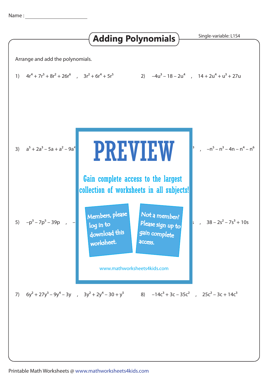